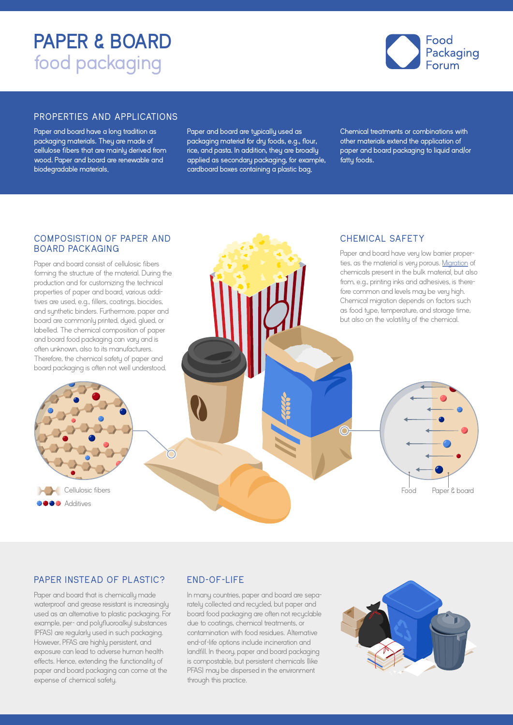# **PAPER & BOARD**  food packaging



### PROPERTIES AND APPLICATIONS

Paper and board have a long tradition as packaging materials. They are made of cellulose fibers that are mainly derived from wood. Paper and board are renewable and biodegradable materials.

Paper and board are typically used as packaging material for dry foods, e.g., flour, rice, and pasta. In addition, they are broadly applied as secondary packaging, for example, cardboard boxes containing a plastic bag. Chemical treatments or combinations with other materials extend the application of paper and board packaging to liquid and/or fatty foods.

### COMPOSISTION OF PAPER AND **BOARD PACKAGING**

Paper and board consist of cellulosic fibers forming the structure of the material. During the production and for customizing the technical properties of paper and board, various additives are used, e.g., fillers, coatings, biocides, and synthetic binders. Furthermore, paper and board are commonly printed, dyed, glued, or labelled. The chemical composition of paper and board food packaging can vary and is often unknown, also to its manufacturers. Therefore, the chemical safety of paper and board packaging is often not well understood.

# CH EMICAL SAFETY

Paper and board have very low barrier properties, as the material is very porous. [Migration](https://www.foodpackagingforum.org/resources/fact-sheet-en) of chemicals present in the bulk material, but also from, e.g., printing inks and adhesives, is therefore common and levels may be very high. Chemical migration depends on factors such as food type, temperature, and storage time, but also on the volatility of the chemical.

# Food Paper & board

### PAPER INSTEAD OF PLASTIC?

**Cellulosic fibers OOO** Additives

Paper and board that is chemically made waterproof and grease resistant is increasingly used as an alternative to plastic packaging. For example, per- and polyfluoroalkyl substances (PFAS) are regularly used in such packaging. However, PFAS are highly persistent, and exposure can lead to adverse human health effects. Hence, extending the functionality of paper and board packaging can come at the expense of chemical safety.

# END-OF-LIFE

n

In many countries, paper and board are separately collected and recycled, but paper and board food packaging are often not recyclable due to coatings, chemical treatments, or contamination with food residues. Alternative end-of-life options include incineration and landfill. In theory, paper and board packaging is compostable, but persistent chemicals (like PFAS) may be dispersed in the environment through this practice.